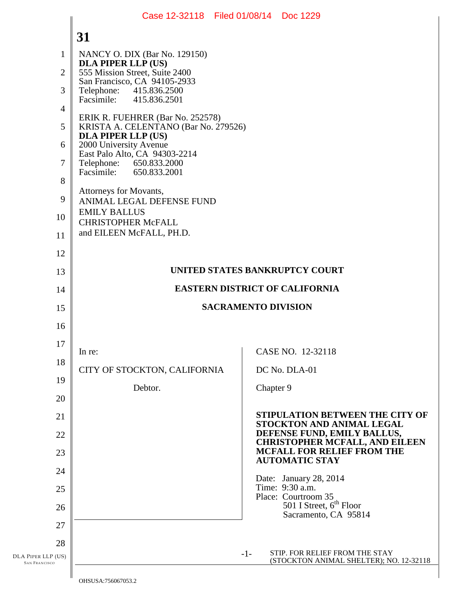## DLA PIPER LLP (US) SAN FRANCISCO 1 2 3 4 5 6 7 8 9 10 11 12 13 14 15 16 17 18 19 20 21 22 23 24 25 26 27 28 **31**  -1- STIP. FOR RELIEF FROM THE STAY (STOCKTON ANIMAL SHELTER); NO. 12-32118 NANCY O. DIX (Bar No. 129150) **DLA PIPER LLP (US)**  555 Mission Street, Suite 2400 San Francisco, CA 94105-2933 Telephone: 415.836.2500<br>Facsimile: 415.836.2501 Facsimile: 415.836.2501 ERIK R. FUEHRER (Bar No. 252578) KRISTA A. CELENTANO (Bar No. 279526) **DLA PIPER LLP (US)**  2000 University Avenue East Palo Alto, CA 94303-2214<br>Telephone: 650.833.2000 Telephone: 650.833.2000<br>Facsimile: 650.833.2001 Facsimile: 650.833.2001 Attorneys for Movants, ANIMAL LEGAL DEFENSE FUND EMILY BALLUS CHRISTOPHER McFALL and EILEEN McFALL, PH.D. **UNITED STATES BANKRUPTCY COURT EASTERN DISTRICT OF CALIFORNIA SACRAMENTO DIVISION**  In re: CITY OF STOCKTON, CALIFORNIA Debtor. CASE NO. 12-32118 DC No. DLA-01 Chapter 9 **STIPULATION BETWEEN THE CITY OF STOCKTON AND ANIMAL LEGAL DEFENSE FUND, EMILY BALLUS, CHRISTOPHER MCFALL, AND EILEEN MCFALL FOR RELIEF FROM THE AUTOMATIC STAY**  Date: January 28, 2014 Time: 9:30 a.m. Place: Courtroom 35  $501$  I Street,  $6<sup>th</sup>$  Floor Sacramento, CA 95814 Case 12-32118 Filed 01/08/14 Doc 1229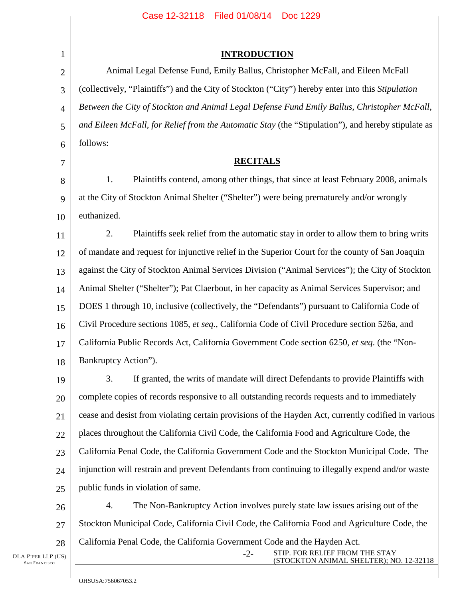| $\mathbf{1}$   | <b>INTRODUCTION</b>                                                                                 |  |
|----------------|-----------------------------------------------------------------------------------------------------|--|
| $\overline{2}$ | Animal Legal Defense Fund, Emily Ballus, Christopher McFall, and Eileen McFall                      |  |
| 3              | (collectively, "Plaintiffs") and the City of Stockton ("City") hereby enter into this Stipulation   |  |
| $\overline{4}$ | Between the City of Stockton and Animal Legal Defense Fund Emily Ballus, Christopher McFall,        |  |
| 5              | and Eileen McFall, for Relief from the Automatic Stay (the "Stipulation"), and hereby stipulate as  |  |
| 6              | follows:                                                                                            |  |
| 7              | <b>RECITALS</b>                                                                                     |  |
| 8              | Plaintiffs contend, among other things, that since at least February 2008, animals<br>1.            |  |
| 9              | at the City of Stockton Animal Shelter ("Shelter") were being prematurely and/or wrongly            |  |
| 10             | euthanized.                                                                                         |  |
| 11             | 2.<br>Plaintiffs seek relief from the automatic stay in order to allow them to bring writs          |  |
| 12             | of mandate and request for injunctive relief in the Superior Court for the county of San Joaquin    |  |
| 13             | against the City of Stockton Animal Services Division ("Animal Services"); the City of Stockton     |  |
| 14             | Animal Shelter ("Shelter"); Pat Claerbout, in her capacity as Animal Services Supervisor; and       |  |
| 15             | DOES 1 through 10, inclusive (collectively, the "Defendants") pursuant to California Code of        |  |
| 16             | Civil Procedure sections 1085, et seq., California Code of Civil Procedure section 526a, and        |  |
| 17             | California Public Records Act, California Government Code section 6250, et seq. (the "Non-          |  |
| 18             | Bankruptcy Action").                                                                                |  |
| 19             | 3.<br>If granted, the writs of mandate will direct Defendants to provide Plaintiffs with            |  |
| 20             | complete copies of records responsive to all outstanding records requests and to immediately        |  |
| 21             | cease and desist from violating certain provisions of the Hayden Act, currently codified in various |  |
| 22             | places throughout the California Civil Code, the California Food and Agriculture Code, the          |  |
| 23             | California Penal Code, the California Government Code and the Stockton Municipal Code. The          |  |
| 24             | injunction will restrain and prevent Defendants from continuing to illegally expend and/or waste    |  |
| 25             | public funds in violation of same.                                                                  |  |
| 26             | 4.<br>The Non-Bankruptcy Action involves purely state law issues arising out of the                 |  |
| 27             | Stockton Municipal Code, California Civil Code, the California Food and Agriculture Code, the       |  |

California Penal Code, the California Government Code and the Hayden Act.

-2- STIP. FOR RELIEF FROM THE STAY (STOCKTON ANIMAL SHELTER); NO. 12-32118

28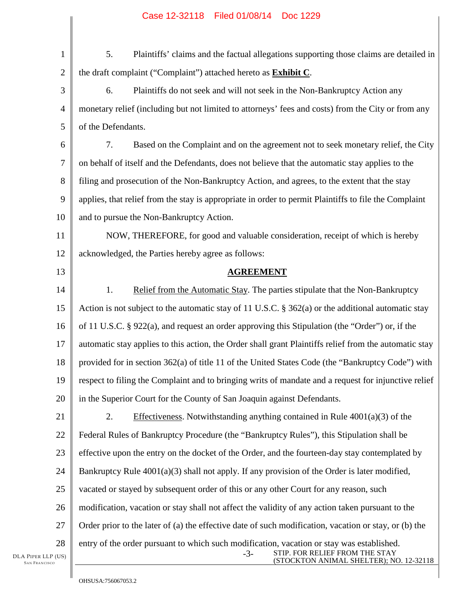| $\mathbf{1}$    | 5.<br>Plaintiffs' claims and the factual allegations supporting those claims are detailed in                                                                                    |  |
|-----------------|---------------------------------------------------------------------------------------------------------------------------------------------------------------------------------|--|
| $\overline{2}$  | the draft complaint ("Complaint") attached hereto as <b>Exhibit C</b> .                                                                                                         |  |
| 3               | 6.<br>Plaintiffs do not seek and will not seek in the Non-Bankruptcy Action any                                                                                                 |  |
| $\overline{4}$  | monetary relief (including but not limited to attorneys' fees and costs) from the City or from any                                                                              |  |
| 5               | of the Defendants.                                                                                                                                                              |  |
| 6               | 7.<br>Based on the Complaint and on the agreement not to seek monetary relief, the City                                                                                         |  |
| 7               | on behalf of itself and the Defendants, does not believe that the automatic stay applies to the                                                                                 |  |
| 8               | filing and prosecution of the Non-Bankruptcy Action, and agrees, to the extent that the stay                                                                                    |  |
| 9               | applies, that relief from the stay is appropriate in order to permit Plaintiffs to file the Complaint                                                                           |  |
| 10              | and to pursue the Non-Bankruptcy Action.                                                                                                                                        |  |
| 11              | NOW, THEREFORE, for good and valuable consideration, receipt of which is hereby                                                                                                 |  |
| 12              | acknowledged, the Parties hereby agree as follows:                                                                                                                              |  |
| 13              | <b>AGREEMENT</b>                                                                                                                                                                |  |
| 14              | 1.<br>Relief from the Automatic Stay. The parties stipulate that the Non-Bankruptcy                                                                                             |  |
| 15              | Action is not subject to the automatic stay of 11 U.S.C. $\S$ 362(a) or the additional automatic stay                                                                           |  |
| 16              | of 11 U.S.C. $\S$ 922(a), and request an order approving this Stipulation (the "Order") or, if the                                                                              |  |
| 17              | automatic stay applies to this action, the Order shall grant Plaintiffs relief from the automatic stay                                                                          |  |
| 18              | provided for in section 362(a) of title 11 of the United States Code (the "Bankruptcy Code") with                                                                               |  |
| 19              | respect to filing the Complaint and to bringing writs of mandate and a request for injunctive relief                                                                            |  |
| 20              | in the Superior Court for the County of San Joaquin against Defendants.                                                                                                         |  |
| 21              | Effectiveness. Notwithstanding anything contained in Rule $4001(a)(3)$ of the<br>2.                                                                                             |  |
| 22              | Federal Rules of Bankruptcy Procedure (the "Bankruptcy Rules"), this Stipulation shall be                                                                                       |  |
| 23              | effective upon the entry on the docket of the Order, and the fourteen-day stay contemplated by                                                                                  |  |
| 24              | Bankruptcy Rule $4001(a)(3)$ shall not apply. If any provision of the Order is later modified,                                                                                  |  |
| 25              | vacated or stayed by subsequent order of this or any other Court for any reason, such                                                                                           |  |
| 26              | modification, vacation or stay shall not affect the validity of any action taken pursuant to the                                                                                |  |
| 27              | Order prior to the later of (a) the effective date of such modification, vacation or stay, or (b) the                                                                           |  |
| 28<br>(US)<br>С | entry of the order pursuant to which such modification, vacation or stay was established.<br>STIP. FOR RELIEF FROM THE STAY<br>$-3-$<br>(STOCKTON ANIMAL SHELTER); NO. 12-32118 |  |

DLA PIPER LLP SAN FRANCISCO

 $\parallel$